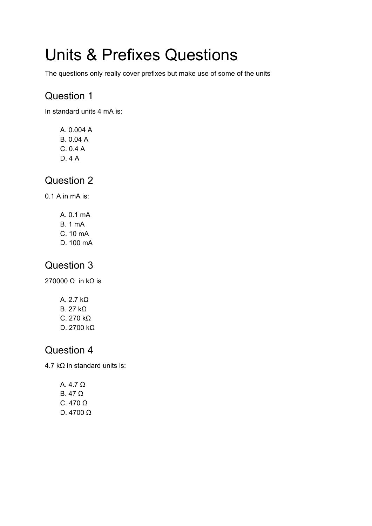# Units & Prefixes Questions

The questions only really cover prefixes but make use of some of the units

### Question 1

In standard units 4 mA is:

A. 0.004 A B. 0.04 A C. 0.4 A D. 4 A

#### Question 2

0.1 A in mA is:

- A. 0.1 mA
- B. 1 mA
- C. 10 mA
- D. 100 mA

#### Question 3

270000 Ω in kΩ is

A. 2.7 kΩ B. 27 kΩ C. 270 kΩ D. 2700 kΩ

#### Question 4

4.7 kΩ in standard units is:

A. 4.7 Ω B. 47 Ω C. 470 Ω D. 4700 Ω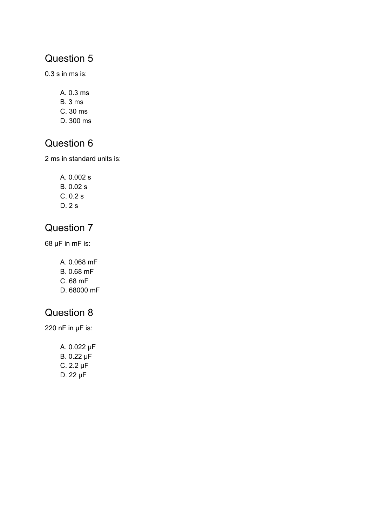# Question 5

0.3 s in ms is:

- A. 0.3 ms
- B. 3 ms
- C. 30 ms
- D. 300 ms

#### Question 6

2 ms in standard units is:

A. 0.002 s B. 0.02 s C. 0.2 s D. 2 s

## Question 7

68 μF in mF is:

- A. 0.068 mF
- B. 0.68 mF
- C. 68 mF
- D. 68000 mF

# Question 8

220 nF in μF is:

A. 0.022 μF B. 0.22 μF C. 2.2 μF D. 22 μF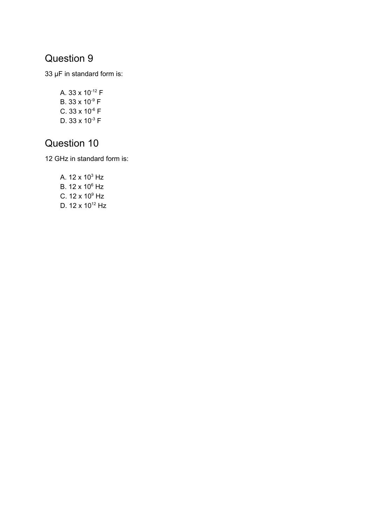# Question 9

33 μF in standard form is:

A. 33 x 10<sup>-12</sup> F B. 33 x 10<sup>-9</sup> F  $C. 33 \times 10^{5}$  F D. 33 x 10 $3$  F

#### Question 10

12 GHz in standard form is:

A. 12 x 10 $^3$  Hz B. 12 x 10 <sup>6</sup> Hz C. 12 x 10 $^9$  Hz D. 12 x 10<sup>12</sup> Hz